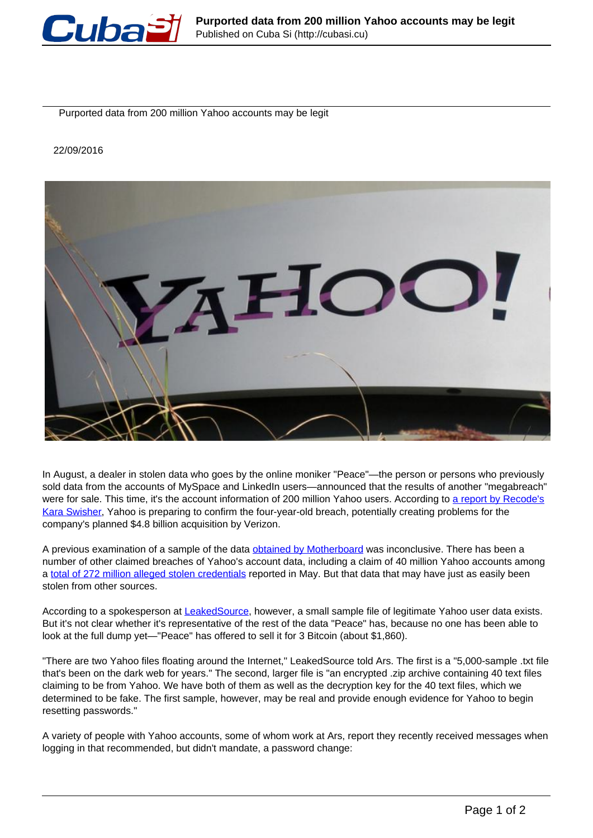

Purported data from 200 million Yahoo accounts may be legit

22/09/2016



In August, a dealer in stolen data who goes by the online moniker "Peace"—the person or persons who previously sold data from the accounts of MySpace and LinkedIn users—announced that the results of another "megabreach" were for sale. This time, it's the account information of 200 million Yahoo users. According to [a report by Recode's](http://www.recode.net/2016/9/22/13012836/yahoo-is-expected-to-confirm-massive-data-breach-impacting-hundreds-of-millions-of-users) [Kara Swisher,](http://www.recode.net/2016/9/22/13012836/yahoo-is-expected-to-confirm-massive-data-breach-impacting-hundreds-of-millions-of-users) Yahoo is preparing to confirm the four-year-old breach, potentially creating problems for the company's planned \$4.8 billion acquisition by Verizon.

A previous examination of a sample of the data obtained by Motherboard was inconclusive. There has been a number of other claimed breaches of Yahoo's account data, including a claim of 40 million Yahoo accounts among a total of 272 million alleged stolen credentials reported in May. But that data that may have just as easily been stolen from other sources.

According to a spokesperson at LeakedSource, however, a small sample file of legitimate Yahoo user data exists. But it's not clear whether it's representative of the rest of the data "Peace" has, because no one has been able to look at the full dump yet—"Peace" has offered to sell it for 3 Bitcoin (about \$1,860).

"There are two Yahoo files floating around the Internet," LeakedSource told Ars. The first is a "5,000-sample .txt file that's been on the dark web for years." The second, larger file is "an encrypted .zip archive containing 40 text files claiming to be from Yahoo. We have both of them as well as the decryption key for the 40 text files, which we determined to be fake. The first sample, however, may be real and provide enough evidence for Yahoo to begin resetting passwords."

A variety of people with Yahoo accounts, some of whom work at Ars, report they recently received messages when logging in that recommended, but didn't mandate, a password change: